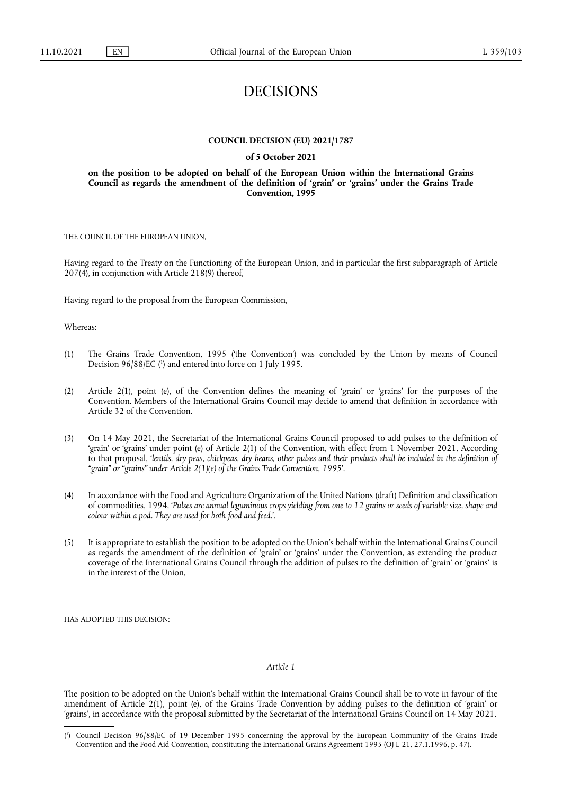# DECISIONS

#### **COUNCIL DECISION (EU) 2021/1787**

### **of 5 October 2021**

### **on the position to be adopted on behalf of the European Union within the International Grains Council as regards the amendment of the definition of 'grain' or 'grains' under the Grains Trade Convention, 1995**

THE COUNCIL OF THE EUROPEAN UNION,

Having regard to the Treaty on the Functioning of the European Union, and in particular the first subparagraph of Article 207(4), in conjunction with Article 218(9) thereof,

Having regard to the proposal from the European Commission,

Whereas:

- <span id="page-0-1"></span>(1) The Grains Trade Convention, 1995 ('the Convention') was concluded by the Union by means of Council Decision 96/88/EC [\(](#page-0-0) 1 ) and entered into force on 1 July 1995.
- (2) Article 2(1), point (e), of the Convention defines the meaning of 'grain' or 'grains' for the purposes of the Convention. Members of the International Grains Council may decide to amend that definition in accordance with Article 32 of the Convention.
- (3) On 14 May 2021, the Secretariat of the International Grains Council proposed to add pulses to the definition of 'grain' or 'grains' under point (e) of Article 2(1) of the Convention, with effect from 1 November 2021. According to that proposal, '*lentils, dry peas, chickpeas, dry beans, other pulses and their products shall be included in the definition of "grain" or "grains" under Article 2(1)(e) of the Grains Trade Convention, 1995*'.
- (4) In accordance with the Food and Agriculture Organization of the United Nations (draft) Definition and classification of commodities, 1994, '*Pulses are annual leguminous crops yielding from one to 12 grains or seeds of variable size, shape and colour within a pod. They are used for both food and feed.*'.
- (5) It is appropriate to establish the position to be adopted on the Union's behalf within the International Grains Council as regards the amendment of the definition of 'grain' or 'grains' under the Convention, as extending the product coverage of the International Grains Council through the addition of pulses to the definition of 'grain' or 'grains' is in the interest of the Union,

HAS ADOPTED THIS DECISION:

#### *Article 1*

The position to be adopted on the Union's behalf within the International Grains Council shall be to vote in favour of the amendment of Article 2(1), point (e), of the Grains Trade Convention by adding pulses to the definition of 'grain' or 'grains', in accordance with the proposal submitted by the Secretariat of the International Grains Council on 14 May 2021.

<span id="page-0-0"></span>[<sup>\(</sup>](#page-0-1) 1 ) Council Decision 96/88/EC of 19 December 1995 concerning the approval by the European Community of the Grains Trade Convention and the Food Aid Convention, constituting the International Grains Agreement 1995 (OJ L 21, 27.1.1996, p. 47).